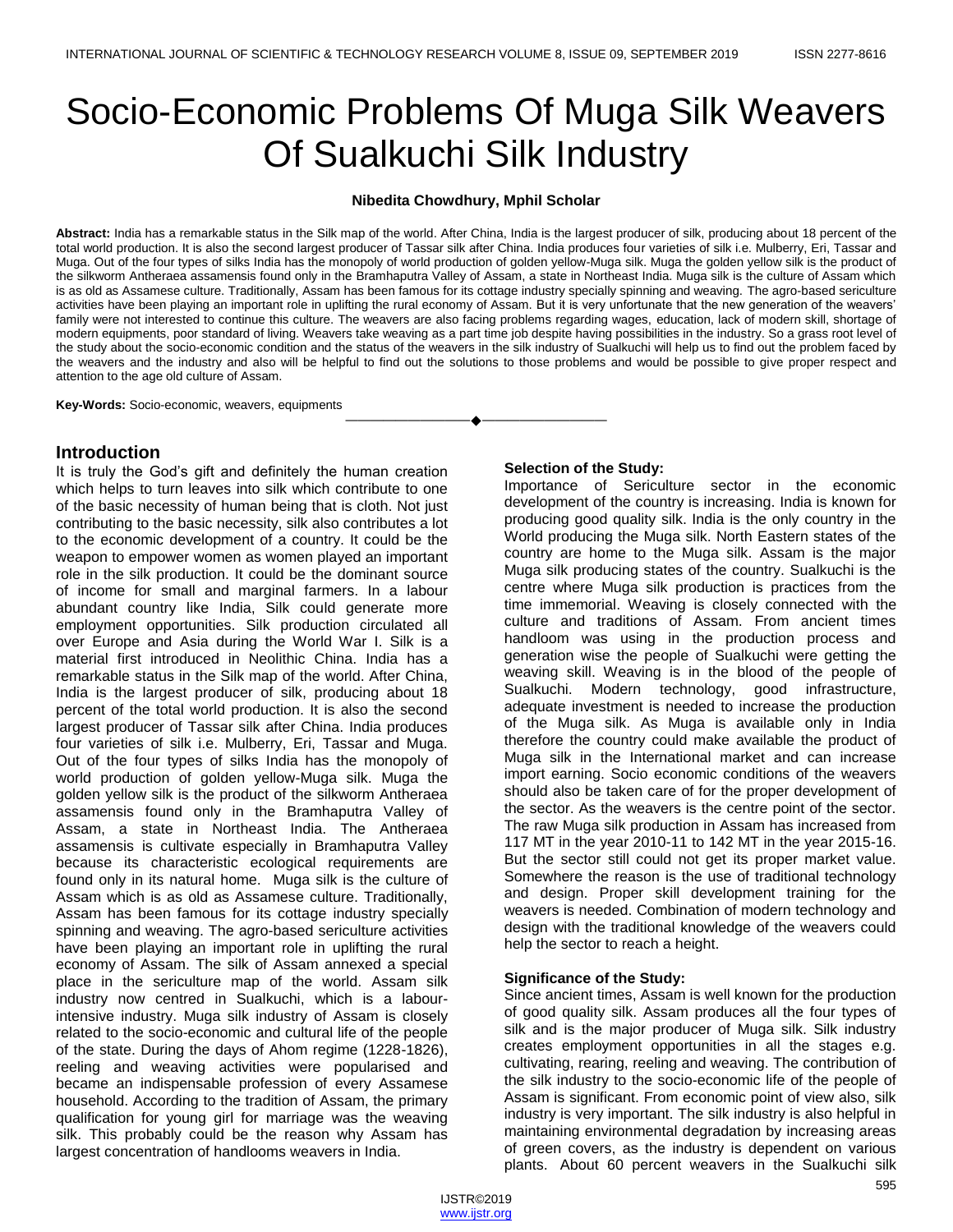# Socio-Economic Problems Of Muga Silk Weavers Of Sualkuchi Silk Industry

### **Nibedita Chowdhury, Mphil Scholar**

**Abstract:** India has a remarkable status in the Silk map of the world. After China, India is the largest producer of silk, producing about 18 percent of the total world production. It is also the second largest producer of Tassar silk after China. India produces four varieties of silk i.e. Mulberry, Eri, Tassar and Muga. Out of the four types of silks India has the monopoly of world production of golden yellow-Muga silk. Muga the golden yellow silk is the product of the silkworm Antheraea assamensis found only in the Bramhaputra Valley of Assam, a state in Northeast India. Muga silk is the culture of Assam which is as old as Assamese culture. Traditionally, Assam has been famous for its cottage industry specially spinning and weaving. The agro-based sericulture activities have been playing an important role in uplifting the rural economy of Assam. But it is very unfortunate that the new generation of the weavers" family were not interested to continue this culture. The weavers are also facing problems regarding wages, education, lack of modern skill, shortage of modern equipments, poor standard of living. Weavers take weaving as a part time job despite having possibilities in the industry. So a grass root level of the study about the socio-economic condition and the status of the weavers in the silk industry of Sualkuchi will help us to find out the problem faced by the weavers and the industry and also will be helpful to find out the solutions to those problems and would be possible to give proper respect and attention to the age old culture of Assam.

————————————————————

**Key-Words:** Socio-economic, weavers, equipments

# **Introduction**

It is truly the God"s gift and definitely the human creation which helps to turn leaves into silk which contribute to one of the basic necessity of human being that is cloth. Not just contributing to the basic necessity, silk also contributes a lot to the economic development of a country. It could be the weapon to empower women as women played an important role in the silk production. It could be the dominant source of income for small and marginal farmers. In a labour abundant country like India, Silk could generate more employment opportunities. Silk production circulated all over Europe and Asia during the World War I. Silk is a material first introduced in Neolithic China. India has a remarkable status in the Silk map of the world. After China, India is the largest producer of silk, producing about 18 percent of the total world production. It is also the second largest producer of Tassar silk after China. India produces four varieties of silk i.e. Mulberry, Eri, Tassar and Muga. Out of the four types of silks India has the monopoly of world production of golden yellow-Muga silk. Muga the golden yellow silk is the product of the silkworm Antheraea assamensis found only in the Bramhaputra Valley of Assam, a state in Northeast India. The Antheraea assamensis is cultivate especially in Bramhaputra Valley because its characteristic ecological requirements are found only in its natural home. Muga silk is the culture of Assam which is as old as Assamese culture. Traditionally, Assam has been famous for its cottage industry specially spinning and weaving. The agro-based sericulture activities have been playing an important role in uplifting the rural economy of Assam. The silk of Assam annexed a special place in the sericulture map of the world. Assam silk industry now centred in Sualkuchi, which is a labourintensive industry. Muga silk industry of Assam is closely related to the socio-economic and cultural life of the people of the state. During the days of Ahom regime (1228-1826), reeling and weaving activities were popularised and became an indispensable profession of every Assamese household. According to the tradition of Assam, the primary qualification for young girl for marriage was the weaving silk. This probably could be the reason why Assam has largest concentration of handlooms weavers in India.

### **Selection of the Study:**

Importance of Sericulture sector in the economic development of the country is increasing. India is known for producing good quality silk. India is the only country in the World producing the Muga silk. North Eastern states of the country are home to the Muga silk. Assam is the major Muga silk producing states of the country. Sualkuchi is the centre where Muga silk production is practices from the time immemorial. Weaving is closely connected with the culture and traditions of Assam. From ancient times handloom was using in the production process and generation wise the people of Sualkuchi were getting the weaving skill. Weaving is in the blood of the people of Sualkuchi. Modern technology, good infrastructure, adequate investment is needed to increase the production of the Muga silk. As Muga is available only in India therefore the country could make available the product of Muga silk in the International market and can increase import earning. Socio economic conditions of the weavers should also be taken care of for the proper development of the sector. As the weavers is the centre point of the sector. The raw Muga silk production in Assam has increased from 117 MT in the year 2010-11 to 142 MT in the year 2015-16. But the sector still could not get its proper market value. Somewhere the reason is the use of traditional technology and design. Proper skill development training for the weavers is needed. Combination of modern technology and design with the traditional knowledge of the weavers could help the sector to reach a height.

# **Significance of the Study:**

Since ancient times, Assam is well known for the production of good quality silk. Assam produces all the four types of silk and is the major producer of Muga silk. Silk industry creates employment opportunities in all the stages e.g. cultivating, rearing, reeling and weaving. The contribution of the silk industry to the socio-economic life of the people of Assam is significant. From economic point of view also, silk industry is very important. The silk industry is also helpful in maintaining environmental degradation by increasing areas of green covers, as the industry is dependent on various plants. About 60 percent weavers in the Sualkuchi silk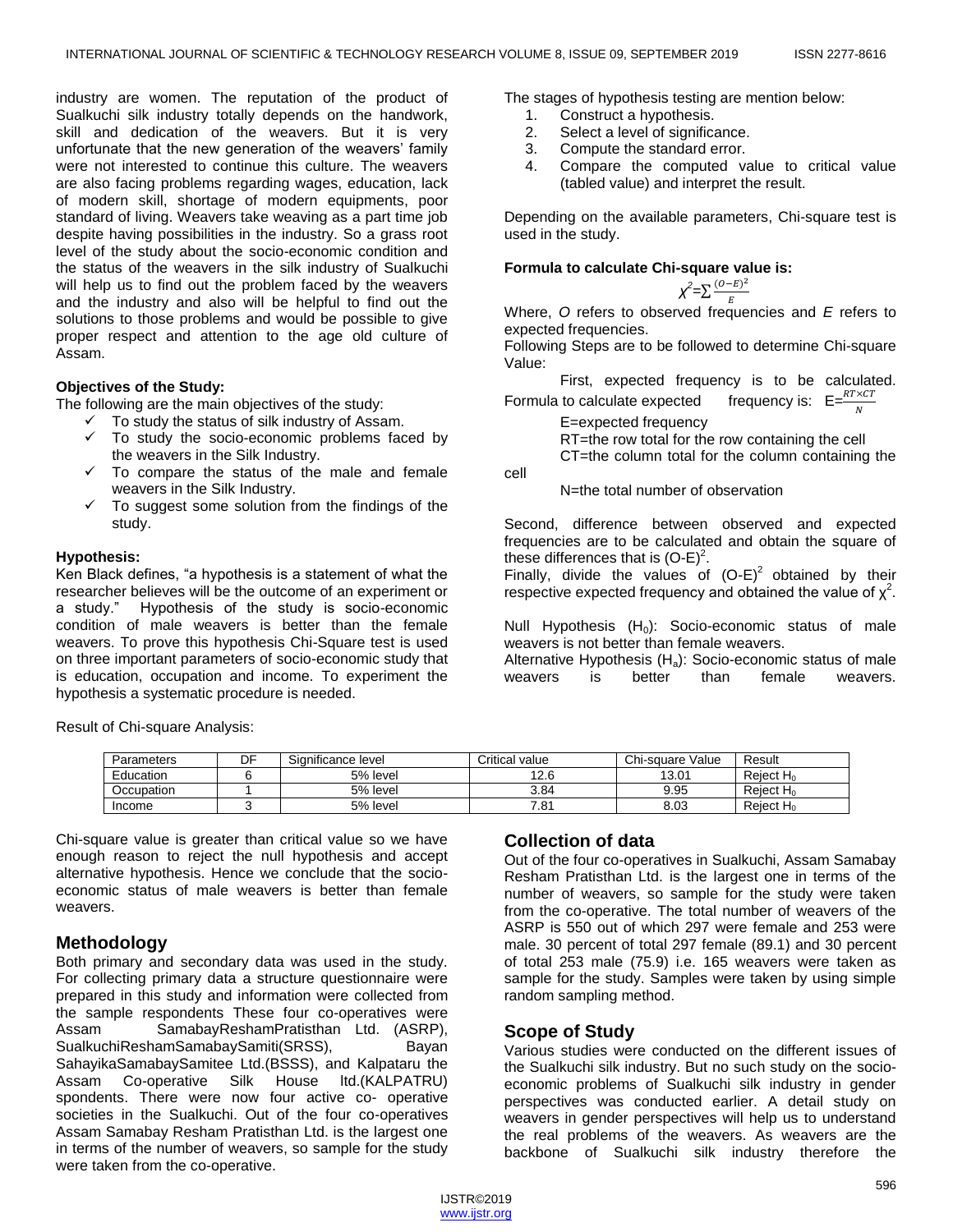industry are women. The reputation of the product of Sualkuchi silk industry totally depends on the handwork, skill and dedication of the weavers. But it is very unfortunate that the new generation of the weavers' family were not interested to continue this culture. The weavers are also facing problems regarding wages, education, lack of modern skill, shortage of modern equipments, poor standard of living. Weavers take weaving as a part time job despite having possibilities in the industry. So a grass root level of the study about the socio-economic condition and the status of the weavers in the silk industry of Sualkuchi will help us to find out the problem faced by the weavers and the industry and also will be helpful to find out the solutions to those problems and would be possible to give proper respect and attention to the age old culture of Assam.

### **Objectives of the Study:**

The following are the main objectives of the study:

- $\checkmark$  To study the status of silk industry of Assam.
- $\checkmark$  To study the socio-economic problems faced by the weavers in the Silk Industry.
- $\checkmark$  To compare the status of the male and female weavers in the Silk Industry.
- To suggest some solution from the findings of the study.

#### **Hypothesis:**

Ken Black defines, "a hypothesis is a statement of what the researcher believes will be the outcome of an experiment or a study." Hypothesis of the study is socio-economic condition of male weavers is better than the female weavers. To prove this hypothesis Chi-Square test is used on three important parameters of socio-economic study that is education, occupation and income. To experiment the hypothesis a systematic procedure is needed.

Result of Chi-square Analysis:

The stages of hypothesis testing are mention below:

- 1. Construct a hypothesis.
- 2. Select a level of significance.
- 3. Compute the standard error.
- 4. Compare the computed value to critical value (tabled value) and interpret the result.

Depending on the available parameters, Chi-square test is used in the study.

#### **Formula to calculate Chi-square value is:**

$$
\chi^2=\sum\frac{(O-E)^2}{E}
$$

Where, *O* refers to observed frequencies and *E* refers to expected frequencies.

Following Steps are to be followed to determine Chi-square Value:

First, expected frequency is to be calculated. Formula to calculate expected frequency is:  $E = \frac{RT \times CT}{N}$ 

E=expected frequency

RT=the row total for the row containing the cell

CT=the column total for the column containing the

cell

N=the total number of observation

Second, difference between observed and expected frequencies are to be calculated and obtain the square of these differences that is  $(O-E)^2$ .

Finally, divide the values of  $(O-E)^2$  obtained by their respective expected frequency and obtained the value of  $\chi^2$ .

Null Hypothesis  $(H_0)$ : Socio-economic status of male weavers is not better than female weavers.

Alternative Hypothesis  $(H_a)$ : Socio-economic status of male weavers is better than female weavers.

| <b>Parameters</b> | DF | Significance level | Critical value | Chi-square Value | Result                |
|-------------------|----|--------------------|----------------|------------------|-----------------------|
| Education         |    | 5% level           | 12.6           | 13.01            | Reiect H <sub>0</sub> |
| Occupation        |    | 5% level           | 3.84           | 9.95             | Reiect H <sub>o</sub> |
| Income            |    | 5% level           | 7.81           | 8.03             | Reiect H <sub>o</sub> |

Chi-square value is greater than critical value so we have enough reason to reject the null hypothesis and accept alternative hypothesis. Hence we conclude that the socioeconomic status of male weavers is better than female weavers.

# **Methodology**

Both primary and secondary data was used in the study. For collecting primary data a structure questionnaire were prepared in this study and information were collected from the sample respondents These four co-operatives were Assam SamabayReshamPratisthan Ltd. (ASRP), SualkuchiReshamSamabaySamiti(SRSS), Bayan SahayikaSamabaySamitee Ltd.(BSSS), and Kalpataru the Assam Co-operative Silk House ltd.(KALPATRU) spondents. There were now four active co- operative societies in the Sualkuchi. Out of the four co-operatives Assam Samabay Resham Pratisthan Ltd. is the largest one in terms of the number of weavers, so sample for the study were taken from the co-operative.

# **Collection of data**

Out of the four co-operatives in Sualkuchi, Assam Samabay Resham Pratisthan Ltd. is the largest one in terms of the number of weavers, so sample for the study were taken from the co-operative. The total number of weavers of the ASRP is 550 out of which 297 were female and 253 were male. 30 percent of total 297 female (89.1) and 30 percent of total 253 male (75.9) i.e. 165 weavers were taken as sample for the study. Samples were taken by using simple random sampling method.

# **Scope of Study**

Various studies were conducted on the different issues of the Sualkuchi silk industry. But no such study on the socioeconomic problems of Sualkuchi silk industry in gender perspectives was conducted earlier. A detail study on weavers in gender perspectives will help us to understand the real problems of the weavers. As weavers are the backbone of Sualkuchi silk industry therefore the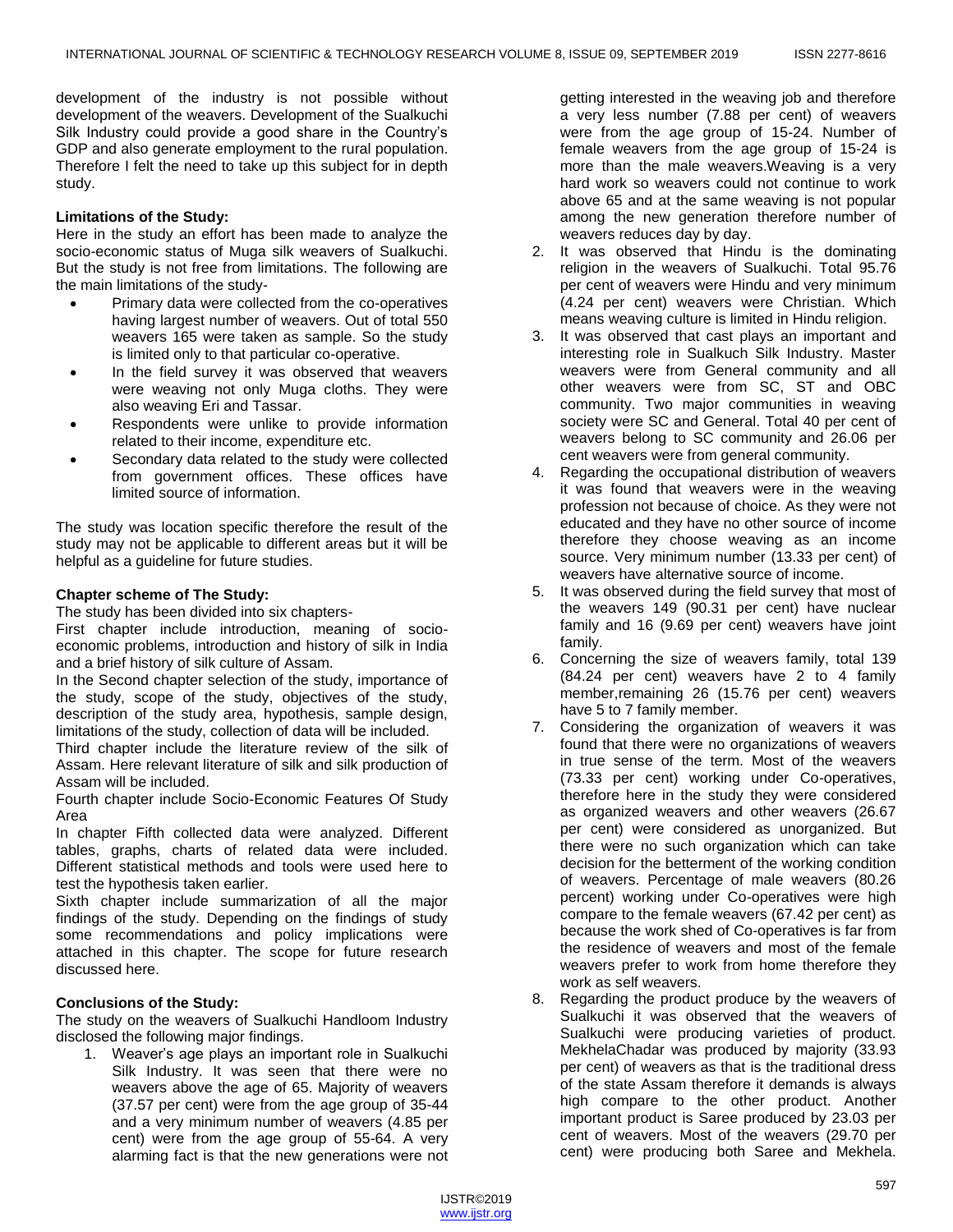development of the industry is not possible without development of the weavers. Development of the Sualkuchi Silk Industry could provide a good share in the Country's GDP and also generate employment to the rural population. Therefore I felt the need to take up this subject for in depth study.

## **Limitations of the Study:**

Here in the study an effort has been made to analyze the socio-economic status of Muga silk weavers of Sualkuchi. But the study is not free from limitations. The following are the main limitations of the study-

- Primary data were collected from the co-operatives having largest number of weavers. Out of total 550 weavers 165 were taken as sample. So the study is limited only to that particular co-operative.
- In the field survey it was observed that weavers were weaving not only Muga cloths. They were also weaving Eri and Tassar.
- Respondents were unlike to provide information related to their income, expenditure etc.
- Secondary data related to the study were collected from government offices. These offices have limited source of information.

The study was location specific therefore the result of the study may not be applicable to different areas but it will be helpful as a guideline for future studies.

## **Chapter scheme of The Study:**

The study has been divided into six chapters-

First chapter include introduction, meaning of socioeconomic problems, introduction and history of silk in India and a brief history of silk culture of Assam.

In the Second chapter selection of the study, importance of the study, scope of the study, objectives of the study, description of the study area, hypothesis, sample design, limitations of the study, collection of data will be included.

Third chapter include the literature review of the silk of Assam. Here relevant literature of silk and silk production of Assam will be included.

Fourth chapter include Socio-Economic Features Of Study Area

In chapter Fifth collected data were analyzed. Different tables, graphs, charts of related data were included. Different statistical methods and tools were used here to test the hypothesis taken earlier.

Sixth chapter include summarization of all the major findings of the study. Depending on the findings of study some recommendations and policy implications were attached in this chapter. The scope for future research discussed here.

### **Conclusions of the Study:**

The study on the weavers of Sualkuchi Handloom Industry disclosed the following major findings.

1. Weaver"s age plays an important role in Sualkuchi Silk Industry. It was seen that there were no weavers above the age of 65. Majority of weavers (37.57 per cent) were from the age group of 35-44 and a very minimum number of weavers (4.85 per cent) were from the age group of 55-64. A very alarming fact is that the new generations were not getting interested in the weaving job and therefore a very less number (7.88 per cent) of weavers were from the age group of 15-24. Number of female weavers from the age group of 15-24 is more than the male weavers.Weaving is a very hard work so weavers could not continue to work above 65 and at the same weaving is not popular among the new generation therefore number of weavers reduces day by day.

- 2. It was observed that Hindu is the dominating religion in the weavers of Sualkuchi. Total 95.76 per cent of weavers were Hindu and very minimum (4.24 per cent) weavers were Christian. Which means weaving culture is limited in Hindu religion.
- 3. It was observed that cast plays an important and interesting role in Sualkuch Silk Industry. Master weavers were from General community and all other weavers were from SC, ST and OBC community. Two major communities in weaving society were SC and General. Total 40 per cent of weavers belong to SC community and 26.06 per cent weavers were from general community.
- 4. Regarding the occupational distribution of weavers it was found that weavers were in the weaving profession not because of choice. As they were not educated and they have no other source of income therefore they choose weaving as an income source. Very minimum number (13.33 per cent) of weavers have alternative source of income.
- 5. It was observed during the field survey that most of the weavers 149 (90.31 per cent) have nuclear family and 16 (9.69 per cent) weavers have joint family.
- 6. Concerning the size of weavers family, total 139 (84.24 per cent) weavers have 2 to 4 family member,remaining 26 (15.76 per cent) weavers have 5 to 7 family member.
- 7. Considering the organization of weavers it was found that there were no organizations of weavers in true sense of the term. Most of the weavers (73.33 per cent) working under Co-operatives, therefore here in the study they were considered as organized weavers and other weavers (26.67 per cent) were considered as unorganized. But there were no such organization which can take decision for the betterment of the working condition of weavers. Percentage of male weavers (80.26 percent) working under Co-operatives were high compare to the female weavers (67.42 per cent) as because the work shed of Co-operatives is far from the residence of weavers and most of the female weavers prefer to work from home therefore they work as self weavers.
- 8. Regarding the product produce by the weavers of Sualkuchi it was observed that the weavers of Sualkuchi were producing varieties of product. MekhelaChadar was produced by majority (33.93 per cent) of weavers as that is the traditional dress of the state Assam therefore it demands is always high compare to the other product. Another important product is Saree produced by 23.03 per cent of weavers. Most of the weavers (29.70 per cent) were producing both Saree and Mekhela.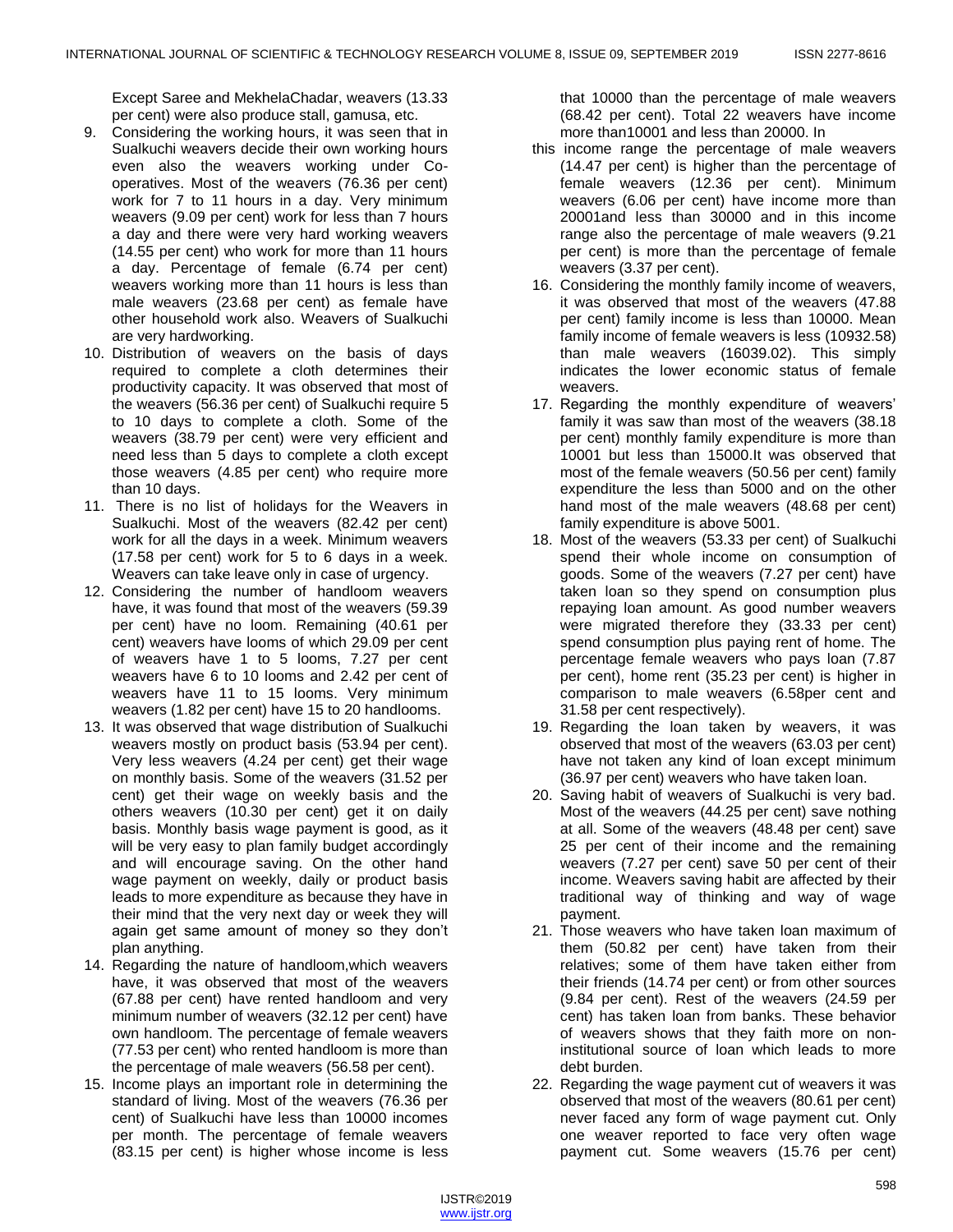Except Saree and MekhelaChadar, weavers (13.33 per cent) were also produce stall, gamusa, etc.

- 9. Considering the working hours, it was seen that in Sualkuchi weavers decide their own working hours even also the weavers working under Cooperatives. Most of the weavers (76.36 per cent) work for 7 to 11 hours in a day. Very minimum weavers (9.09 per cent) work for less than 7 hours a day and there were very hard working weavers (14.55 per cent) who work for more than 11 hours a day. Percentage of female (6.74 per cent) weavers working more than 11 hours is less than male weavers (23.68 per cent) as female have other household work also. Weavers of Sualkuchi are very hardworking.
- 10. Distribution of weavers on the basis of days required to complete a cloth determines their productivity capacity. It was observed that most of the weavers (56.36 per cent) of Sualkuchi require 5 to 10 days to complete a cloth. Some of the weavers (38.79 per cent) were very efficient and need less than 5 days to complete a cloth except those weavers (4.85 per cent) who require more than 10 days.
- 11. There is no list of holidays for the Weavers in Sualkuchi. Most of the weavers (82.42 per cent) work for all the days in a week. Minimum weavers (17.58 per cent) work for 5 to 6 days in a week. Weavers can take leave only in case of urgency.
- 12. Considering the number of handloom weavers have, it was found that most of the weavers (59.39 per cent) have no loom. Remaining (40.61 per cent) weavers have looms of which 29.09 per cent of weavers have 1 to 5 looms, 7.27 per cent weavers have 6 to 10 looms and 2.42 per cent of weavers have 11 to 15 looms. Very minimum weavers (1.82 per cent) have 15 to 20 handlooms.
- 13. It was observed that wage distribution of Sualkuchi weavers mostly on product basis (53.94 per cent). Very less weavers (4.24 per cent) get their wage on monthly basis. Some of the weavers (31.52 per cent) get their wage on weekly basis and the others weavers (10.30 per cent) get it on daily basis. Monthly basis wage payment is good, as it will be very easy to plan family budget accordingly and will encourage saving. On the other hand wage payment on weekly, daily or product basis leads to more expenditure as because they have in their mind that the very next day or week they will again get same amount of money so they don"t plan anything.
- 14. Regarding the nature of handloom,which weavers have, it was observed that most of the weavers (67.88 per cent) have rented handloom and very minimum number of weavers (32.12 per cent) have own handloom. The percentage of female weavers (77.53 per cent) who rented handloom is more than the percentage of male weavers (56.58 per cent).
- 15. Income plays an important role in determining the standard of living. Most of the weavers (76.36 per cent) of Sualkuchi have less than 10000 incomes per month. The percentage of female weavers (83.15 per cent) is higher whose income is less

that 10000 than the percentage of male weavers (68.42 per cent). Total 22 weavers have income more than10001 and less than 20000. In

- this income range the percentage of male weavers (14.47 per cent) is higher than the percentage of female weavers (12.36 per cent). Minimum weavers (6.06 per cent) have income more than 20001and less than 30000 and in this income range also the percentage of male weavers (9.21 per cent) is more than the percentage of female weavers (3.37 per cent).
- 16. Considering the monthly family income of weavers, it was observed that most of the weavers (47.88 per cent) family income is less than 10000. Mean family income of female weavers is less (10932.58) than male weavers (16039.02). This simply indicates the lower economic status of female weavers.
- 17. Regarding the monthly expenditure of weavers' family it was saw than most of the weavers (38.18 per cent) monthly family expenditure is more than 10001 but less than 15000.It was observed that most of the female weavers (50.56 per cent) family expenditure the less than 5000 and on the other hand most of the male weavers (48.68 per cent) family expenditure is above 5001.
- 18. Most of the weavers (53.33 per cent) of Sualkuchi spend their whole income on consumption of goods. Some of the weavers (7.27 per cent) have taken loan so they spend on consumption plus repaying loan amount. As good number weavers were migrated therefore they (33.33 per cent) spend consumption plus paying rent of home. The percentage female weavers who pays loan (7.87 per cent), home rent (35.23 per cent) is higher in comparison to male weavers (6.58per cent and 31.58 per cent respectively).
- 19. Regarding the loan taken by weavers, it was observed that most of the weavers (63.03 per cent) have not taken any kind of loan except minimum (36.97 per cent) weavers who have taken loan.
- 20. Saving habit of weavers of Sualkuchi is very bad. Most of the weavers (44.25 per cent) save nothing at all. Some of the weavers (48.48 per cent) save 25 per cent of their income and the remaining weavers (7.27 per cent) save 50 per cent of their income. Weavers saving habit are affected by their traditional way of thinking and way of wage payment.
- 21. Those weavers who have taken loan maximum of them (50.82 per cent) have taken from their relatives; some of them have taken either from their friends (14.74 per cent) or from other sources (9.84 per cent). Rest of the weavers (24.59 per cent) has taken loan from banks. These behavior of weavers shows that they faith more on noninstitutional source of loan which leads to more debt burden.
- 22. Regarding the wage payment cut of weavers it was observed that most of the weavers (80.61 per cent) never faced any form of wage payment cut. Only one weaver reported to face very often wage payment cut. Some weavers (15.76 per cent)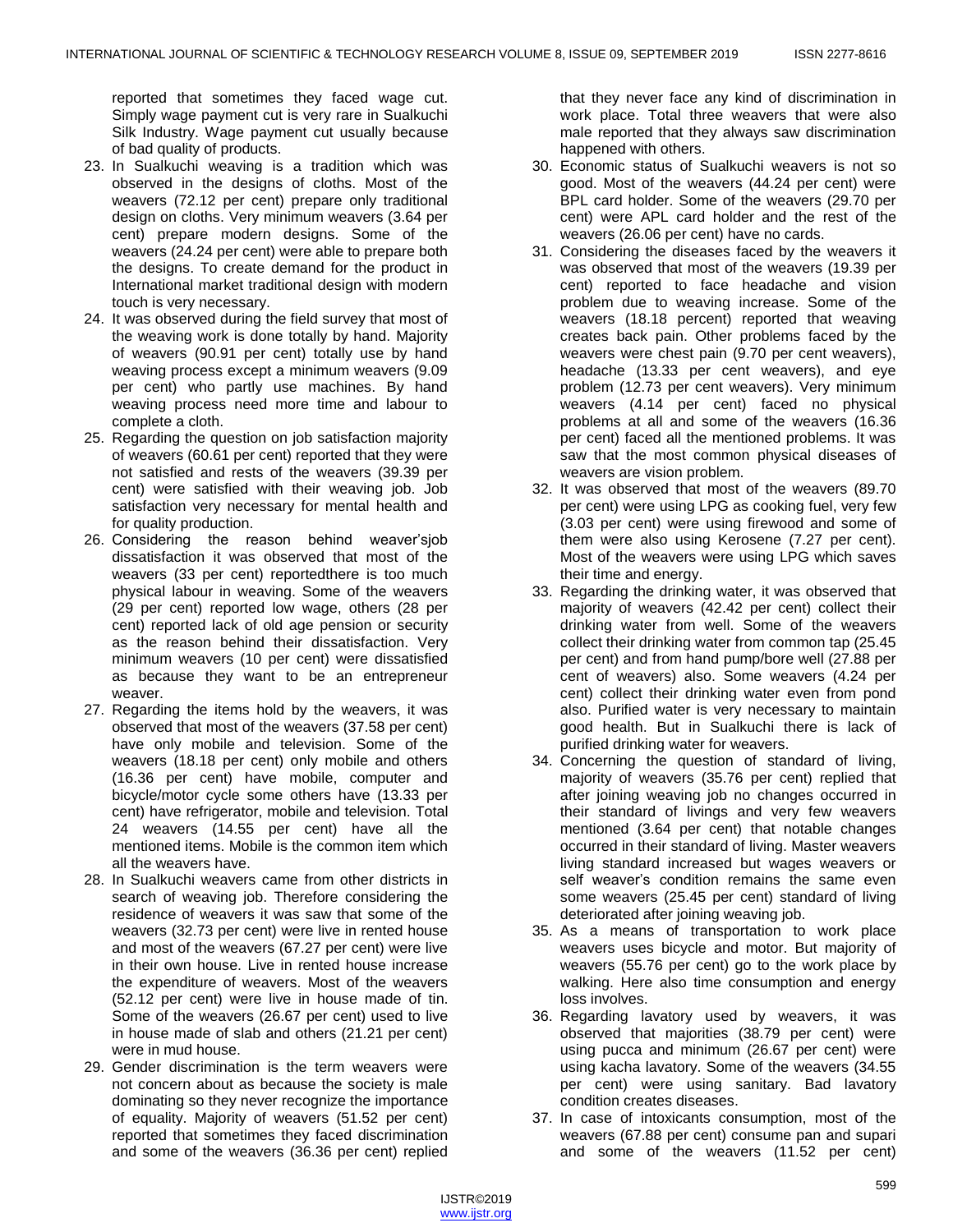reported that sometimes they faced wage cut. Simply wage payment cut is very rare in Sualkuchi Silk Industry. Wage payment cut usually because of bad quality of products.

- 23. In Sualkuchi weaving is a tradition which was observed in the designs of cloths. Most of the weavers (72.12 per cent) prepare only traditional design on cloths. Very minimum weavers (3.64 per cent) prepare modern designs. Some of the weavers (24.24 per cent) were able to prepare both the designs. To create demand for the product in International market traditional design with modern touch is very necessary.
- 24. It was observed during the field survey that most of the weaving work is done totally by hand. Majority of weavers (90.91 per cent) totally use by hand weaving process except a minimum weavers (9.09 per cent) who partly use machines. By hand weaving process need more time and labour to complete a cloth.
- 25. Regarding the question on job satisfaction majority of weavers (60.61 per cent) reported that they were not satisfied and rests of the weavers (39.39 per cent) were satisfied with their weaving job. Job satisfaction very necessary for mental health and for quality production.
- 26. Considering the reason behind weaver"sjob dissatisfaction it was observed that most of the weavers (33 per cent) reportedthere is too much physical labour in weaving. Some of the weavers (29 per cent) reported low wage, others (28 per cent) reported lack of old age pension or security as the reason behind their dissatisfaction. Very minimum weavers (10 per cent) were dissatisfied as because they want to be an entrepreneur weaver.
- 27. Regarding the items hold by the weavers, it was observed that most of the weavers (37.58 per cent) have only mobile and television. Some of the weavers (18.18 per cent) only mobile and others (16.36 per cent) have mobile, computer and bicycle/motor cycle some others have (13.33 per cent) have refrigerator, mobile and television. Total 24 weavers (14.55 per cent) have all the mentioned items. Mobile is the common item which all the weavers have.
- 28. In Sualkuchi weavers came from other districts in search of weaving job. Therefore considering the residence of weavers it was saw that some of the weavers (32.73 per cent) were live in rented house and most of the weavers (67.27 per cent) were live in their own house. Live in rented house increase the expenditure of weavers. Most of the weavers (52.12 per cent) were live in house made of tin. Some of the weavers (26.67 per cent) used to live in house made of slab and others (21.21 per cent) were in mud house.
- 29. Gender discrimination is the term weavers were not concern about as because the society is male dominating so they never recognize the importance of equality. Majority of weavers (51.52 per cent) reported that sometimes they faced discrimination and some of the weavers (36.36 per cent) replied

that they never face any kind of discrimination in work place. Total three weavers that were also male reported that they always saw discrimination happened with others.

- 30. Economic status of Sualkuchi weavers is not so good. Most of the weavers (44.24 per cent) were BPL card holder. Some of the weavers (29.70 per cent) were APL card holder and the rest of the weavers (26.06 per cent) have no cards.
- 31. Considering the diseases faced by the weavers it was observed that most of the weavers (19.39 per cent) reported to face headache and vision problem due to weaving increase. Some of the weavers (18.18 percent) reported that weaving creates back pain. Other problems faced by the weavers were chest pain (9.70 per cent weavers), headache (13.33 per cent weavers), and eye problem (12.73 per cent weavers). Very minimum weavers (4.14 per cent) faced no physical problems at all and some of the weavers (16.36 per cent) faced all the mentioned problems. It was saw that the most common physical diseases of weavers are vision problem.
- 32. It was observed that most of the weavers (89.70 per cent) were using LPG as cooking fuel, very few (3.03 per cent) were using firewood and some of them were also using Kerosene (7.27 per cent). Most of the weavers were using LPG which saves their time and energy.
- 33. Regarding the drinking water, it was observed that majority of weavers (42.42 per cent) collect their drinking water from well. Some of the weavers collect their drinking water from common tap (25.45 per cent) and from hand pump/bore well (27.88 per cent of weavers) also. Some weavers (4.24 per cent) collect their drinking water even from pond also. Purified water is very necessary to maintain good health. But in Sualkuchi there is lack of purified drinking water for weavers.
- 34. Concerning the question of standard of living, majority of weavers (35.76 per cent) replied that after joining weaving job no changes occurred in their standard of livings and very few weavers mentioned (3.64 per cent) that notable changes occurred in their standard of living. Master weavers living standard increased but wages weavers or self weaver's condition remains the same even some weavers (25.45 per cent) standard of living deteriorated after joining weaving job.
- 35. As a means of transportation to work place weavers uses bicycle and motor. But majority of weavers (55.76 per cent) go to the work place by walking. Here also time consumption and energy loss involves.
- 36. Regarding lavatory used by weavers, it was observed that majorities (38.79 per cent) were using pucca and minimum (26.67 per cent) were using kacha lavatory. Some of the weavers (34.55 per cent) were using sanitary. Bad lavatory condition creates diseases.
- 37. In case of intoxicants consumption, most of the weavers (67.88 per cent) consume pan and supari and some of the weavers (11.52 per cent)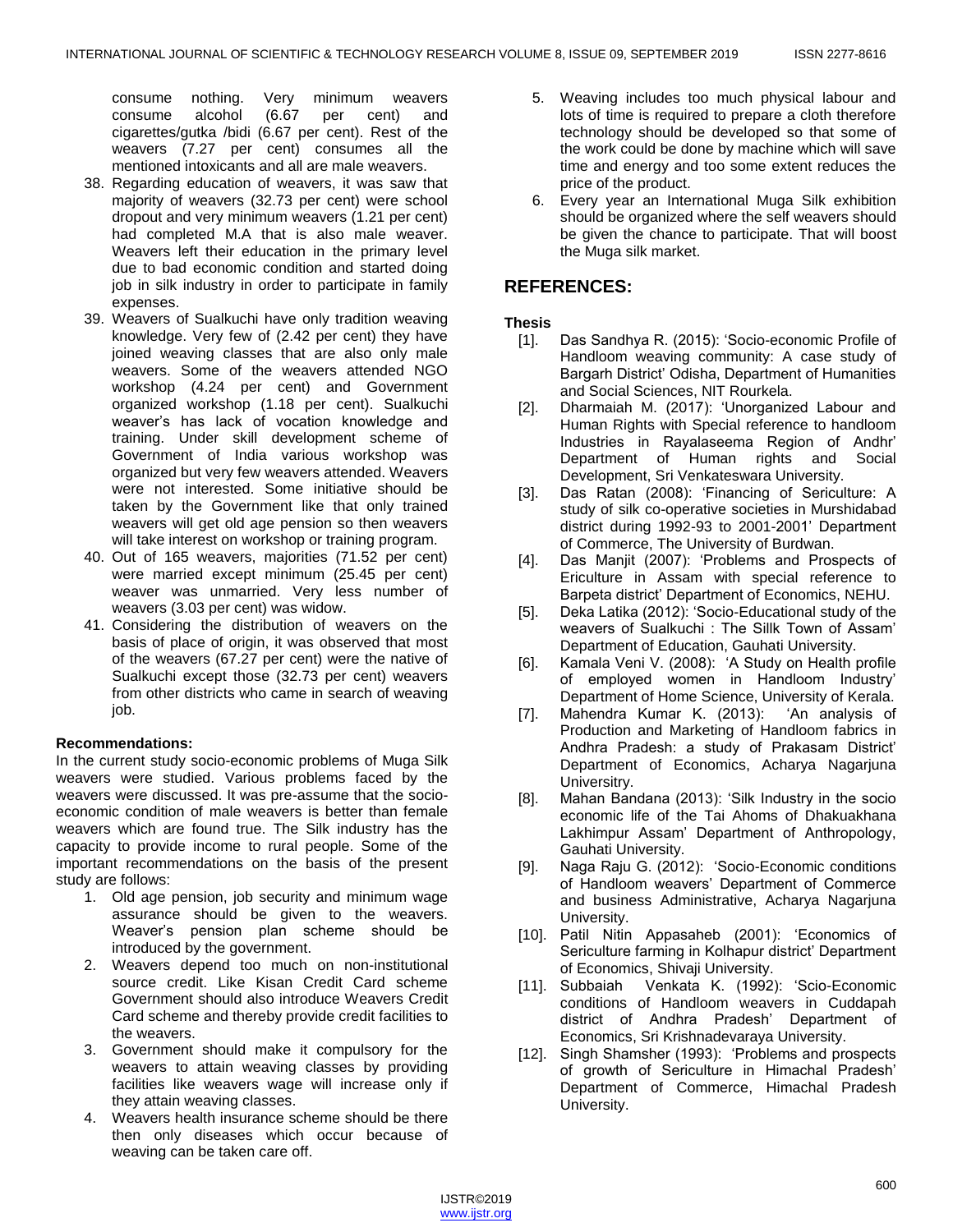consume nothing. Very minimum weavers consume alcohol (6.67 per cent) and cigarettes/gutka /bidi (6.67 per cent). Rest of the weavers (7.27 per cent) consumes all the mentioned intoxicants and all are male weavers.

- 38. Regarding education of weavers, it was saw that majority of weavers (32.73 per cent) were school dropout and very minimum weavers (1.21 per cent) had completed M.A that is also male weaver. Weavers left their education in the primary level due to bad economic condition and started doing job in silk industry in order to participate in family expenses.
- 39. Weavers of Sualkuchi have only tradition weaving knowledge. Very few of (2.42 per cent) they have joined weaving classes that are also only male weavers. Some of the weavers attended NGO workshop (4.24 per cent) and Government organized workshop (1.18 per cent). Sualkuchi weaver"s has lack of vocation knowledge and training. Under skill development scheme of Government of India various workshop was organized but very few weavers attended. Weavers were not interested. Some initiative should be taken by the Government like that only trained weavers will get old age pension so then weavers will take interest on workshop or training program.
- 40. Out of 165 weavers, majorities (71.52 per cent) were married except minimum (25.45 per cent) weaver was unmarried. Very less number of weavers (3.03 per cent) was widow.
- 41. Considering the distribution of weavers on the basis of place of origin, it was observed that most of the weavers (67.27 per cent) were the native of Sualkuchi except those (32.73 per cent) weavers from other districts who came in search of weaving job.

# **Recommendations:**

In the current study socio-economic problems of Muga Silk weavers were studied. Various problems faced by the weavers were discussed. It was pre-assume that the socioeconomic condition of male weavers is better than female weavers which are found true. The Silk industry has the capacity to provide income to rural people. Some of the important recommendations on the basis of the present study are follows:

- 1. Old age pension, job security and minimum wage assurance should be given to the weavers. Weaver"s pension plan scheme should be introduced by the government.
- 2. Weavers depend too much on non-institutional source credit. Like Kisan Credit Card scheme Government should also introduce Weavers Credit Card scheme and thereby provide credit facilities to the weavers.
- 3. Government should make it compulsory for the weavers to attain weaving classes by providing facilities like weavers wage will increase only if they attain weaving classes.
- 4. Weavers health insurance scheme should be there then only diseases which occur because of weaving can be taken care off.
- 5. Weaving includes too much physical labour and lots of time is required to prepare a cloth therefore technology should be developed so that some of the work could be done by machine which will save time and energy and too some extent reduces the price of the product.
- 6. Every year an International Muga Silk exhibition should be organized where the self weavers should be given the chance to participate. That will boost the Muga silk market.

# **REFERENCES:**

# **Thesis**

- [1]. Das Sandhya R. (2015): "Socio-economic Profile of Handloom weaving community: A case study of Bargarh District" Odisha, Department of Humanities and Social Sciences, NIT Rourkela.
- [2]. Dharmaiah M. (2017): "Unorganized Labour and Human Rights with Special reference to handloom Industries in Rayalaseema Region of Andhr" Department of Human rights and Social Development, Sri Venkateswara University.
- [3]. Das Ratan (2008): "Financing of Sericulture: A study of silk co-operative societies in Murshidabad district during 1992-93 to 2001-2001" Department of Commerce, The University of Burdwan.
- [4]. Das Manjit (2007): "Problems and Prospects of Ericulture in Assam with special reference to Barpeta district" Department of Economics, NEHU.
- [5]. Deka Latika (2012): "Socio-Educational study of the weavers of Sualkuchi : The Sillk Town of Assam" Department of Education, Gauhati University.
- [6]. Kamala Veni V. (2008): "A Study on Health profile of employed women in Handloom Industry" Department of Home Science, University of Kerala.
- [7]. Mahendra Kumar K. (2013): "An analysis of Production and Marketing of Handloom fabrics in Andhra Pradesh: a study of Prakasam District" Department of Economics, Acharya Nagarjuna Universitry.
- [8]. Mahan Bandana (2013): "Silk Industry in the socio economic life of the Tai Ahoms of Dhakuakhana Lakhimpur Assam" Department of Anthropology, Gauhati University.
- [9]. Naga Raju G. (2012): "Socio-Economic conditions of Handloom weavers" Department of Commerce and business Administrative, Acharya Nagarjuna University.
- [10]. Patil Nitin Appasaheb (2001): 'Economics of Sericulture farming in Kolhapur district" Department of Economics, Shivaji University.
- [11]. Subbaiah Venkata K. (1992): "Scio-Economic conditions of Handloom weavers in Cuddapah district of Andhra Pradesh' Department of Economics, Sri Krishnadevaraya University.
- [12]. Singh Shamsher (1993): 'Problems and prospects of growth of Sericulture in Himachal Pradesh" Department of Commerce, Himachal Pradesh University.